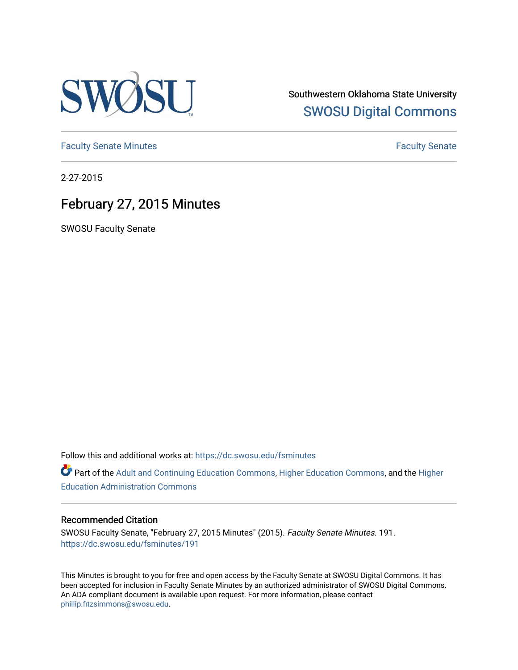

Southwestern Oklahoma State University [SWOSU Digital Commons](https://dc.swosu.edu/) 

[Faculty Senate Minutes](https://dc.swosu.edu/fsminutes) **Faculty** Senate Minutes

2-27-2015

# February 27, 2015 Minutes

SWOSU Faculty Senate

Follow this and additional works at: [https://dc.swosu.edu/fsminutes](https://dc.swosu.edu/fsminutes?utm_source=dc.swosu.edu%2Ffsminutes%2F191&utm_medium=PDF&utm_campaign=PDFCoverPages) 

Part of the [Adult and Continuing Education Commons,](http://network.bepress.com/hgg/discipline/1375?utm_source=dc.swosu.edu%2Ffsminutes%2F191&utm_medium=PDF&utm_campaign=PDFCoverPages) [Higher Education Commons,](http://network.bepress.com/hgg/discipline/1245?utm_source=dc.swosu.edu%2Ffsminutes%2F191&utm_medium=PDF&utm_campaign=PDFCoverPages) and the [Higher](http://network.bepress.com/hgg/discipline/791?utm_source=dc.swosu.edu%2Ffsminutes%2F191&utm_medium=PDF&utm_campaign=PDFCoverPages) [Education Administration Commons](http://network.bepress.com/hgg/discipline/791?utm_source=dc.swosu.edu%2Ffsminutes%2F191&utm_medium=PDF&utm_campaign=PDFCoverPages) 

#### Recommended Citation

SWOSU Faculty Senate, "February 27, 2015 Minutes" (2015). Faculty Senate Minutes. 191. [https://dc.swosu.edu/fsminutes/191](https://dc.swosu.edu/fsminutes/191?utm_source=dc.swosu.edu%2Ffsminutes%2F191&utm_medium=PDF&utm_campaign=PDFCoverPages) 

This Minutes is brought to you for free and open access by the Faculty Senate at SWOSU Digital Commons. It has been accepted for inclusion in Faculty Senate Minutes by an authorized administrator of SWOSU Digital Commons. An ADA compliant document is available upon request. For more information, please contact [phillip.fitzsimmons@swosu.edu](mailto:phillip.fitzsimmons@swosu.edu).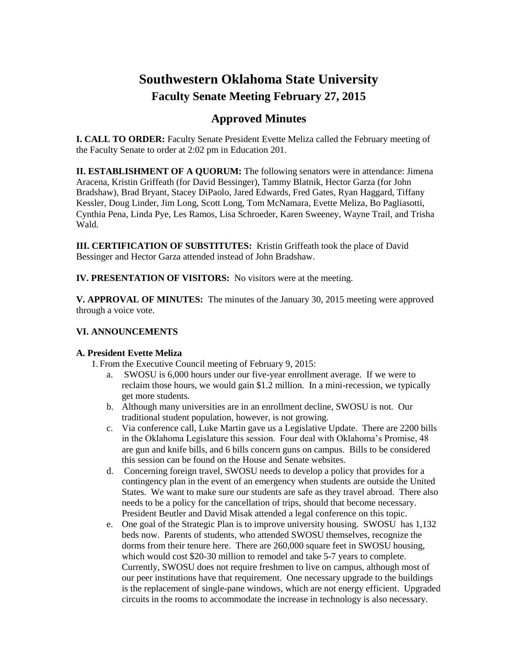# **Southwestern Oklahoma State University Faculty Senate Meeting February 27, 2015**

## **Approved Minutes**

**I. CALL TO ORDER:** Faculty Senate President Evette Meliza called the February meeting of the Faculty Senate to order at 2:02 pm in Education 201.

**II. ESTABLISHMENT OF A QUORUM:** The following senators were in attendance: Jimena Aracena, Kristin Griffeath (for David Bessinger), Tammy Blatnik, Hector Garza (for John Bradshaw), Brad Bryant, Stacey DiPaolo, Jared Edwards, Fred Gates, Ryan Haggard, Tiffany Kessler, Doug Linder, Jim Long, Scott Long, Tom McNamara, Evette Meliza, Bo Pagliasotti, Cynthia Pena, Linda Pye, Les Ramos, Lisa Schroeder, Karen Sweeney, Wayne Trail, and Trisha Wald.

**III. CERTIFICATION OF SUBSTITUTES:** Kristin Griffeath took the place of David Bessinger and Hector Garza attended instead of John Bradshaw.

**IV. PRESENTATION OF VISITORS:** No visitors were at the meeting.

**V. APPROVAL OF MINUTES:** The minutes of the January 30, 2015 meeting were approved through a voice vote.

### **VI. ANNOUNCEMENTS**

### **A. President Evette Meliza**

1. From the Executive Council meeting of February 9, 2015:

- a. SWOSU is 6,000 hours under our five-year enrollment average. If we were to reclaim those hours, we would gain \$1.2 million. In a mini-recession, we typically get more students.
- b. Although many universities are in an enrollment decline, SWOSU is not. Our traditional student population, however, is not growing.
- c. Via conference call, Luke Martin gave us a Legislative Update. There are 2200 bills in the Oklahoma Legislature this session. Four deal with Oklahoma's Promise, 48 are gun and knife bills, and 6 bills concern guns on campus. Bills to be considered this session can be found on the House and Senate websites.
- d. Concerning foreign travel, SWOSU needs to develop a policy that provides for a contingency plan in the event of an emergency when students are outside the United States. We want to make sure our students are safe as they travel abroad. There also needs to be a policy for the cancellation of trips, should that become necessary. President Beutler and David Misak attended a legal conference on this topic.
- e. One goal of the Strategic Plan is to improve university housing. SWOSU has 1,132 beds now. Parents of students, who attended SWOSU themselves, recognize the dorms from their tenure here. There are 260,000 square feet in SWOSU housing, which would cost \$20-30 million to remodel and take 5-7 years to complete. Currently, SWOSU does not require freshmen to live on campus, although most of our peer institutions have that requirement. One necessary upgrade to the buildings is the replacement of single-pane windows, which are not energy efficient. Upgraded circuits in the rooms to accommodate the increase in technology is also necessary.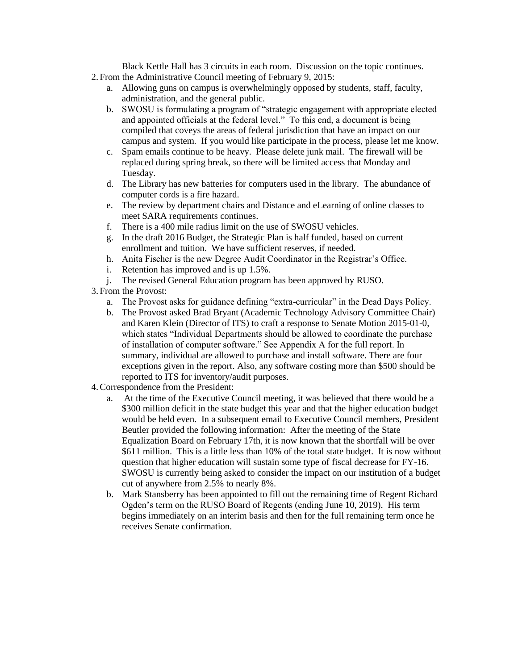Black Kettle Hall has 3 circuits in each room. Discussion on the topic continues. 2. From the Administrative Council meeting of February 9, 2015:

- a. Allowing guns on campus is overwhelmingly opposed by students, staff, faculty, administration, and the general public.
- b. SWOSU is formulating a program of "strategic engagement with appropriate elected and appointed officials at the federal level." To this end, a document is being compiled that coveys the areas of federal jurisdiction that have an impact on our campus and system. If you would like participate in the process, please let me know.
- c. Spam emails continue to be heavy. Please delete junk mail. The firewall will be replaced during spring break, so there will be limited access that Monday and Tuesday.
- d. The Library has new batteries for computers used in the library. The abundance of computer cords is a fire hazard.
- e. The review by department chairs and Distance and eLearning of online classes to meet SARA requirements continues.
- f. There is a 400 mile radius limit on the use of SWOSU vehicles.
- g. In the draft 2016 Budget, the Strategic Plan is half funded, based on current enrollment and tuition. We have sufficient reserves, if needed.
- h. Anita Fischer is the new Degree Audit Coordinator in the Registrar's Office.
- i. Retention has improved and is up 1.5%.
- j. The revised General Education program has been approved by RUSO.
- 3. From the Provost:
	- a. The Provost asks for guidance defining "extra-curricular" in the Dead Days Policy.
	- b. The Provost asked Brad Bryant (Academic Technology Advisory Committee Chair) and Karen Klein (Director of ITS) to craft a response to Senate Motion 2015-01-0, which states "Individual Departments should be allowed to coordinate the purchase of installation of computer software." See Appendix A for the full report. In summary, individual are allowed to purchase and install software. There are four exceptions given in the report. Also, any software costing more than \$500 should be reported to ITS for inventory/audit purposes.
- 4.Correspondence from the President:
	- a. At the time of the Executive Council meeting, it was believed that there would be a \$300 million deficit in the state budget this year and that the higher education budget would be held even. In a subsequent email to Executive Council members, President Beutler provided the following information: After the meeting of the State Equalization Board on February 17th, it is now known that the shortfall will be over \$611 million. This is a little less than 10% of the total state budget. It is now without question that higher education will sustain some type of fiscal decrease for FY-16. SWOSU is currently being asked to consider the impact on our institution of a budget cut of anywhere from 2.5% to nearly 8%.
	- b. Mark Stansberry has been appointed to fill out the remaining time of Regent Richard Ogden's term on the RUSO Board of Regents (ending June 10, 2019). His term begins immediately on an interim basis and then for the full remaining term once he receives Senate confirmation.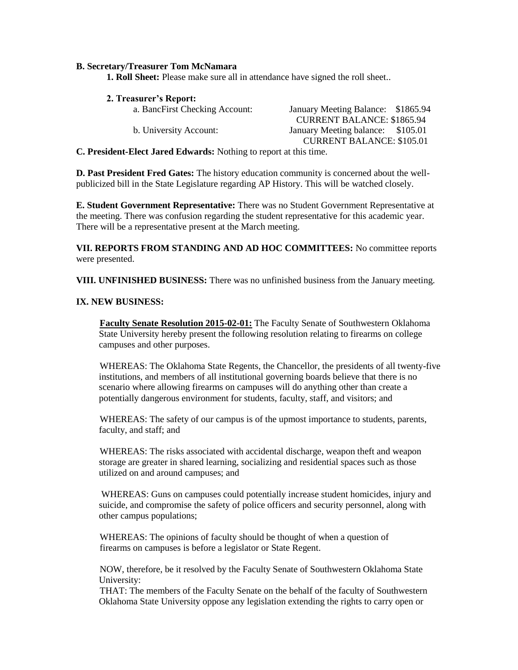#### **B. Secretary/Treasurer Tom McNamara**

**1. Roll Sheet:** Please make sure all in attendance have signed the roll sheet..

**2. Treasurer's Report:**

| a. BancFirst Checking Account: | January Meeting Balance: \$1865.94 |  |
|--------------------------------|------------------------------------|--|
|                                | <b>CURRENT BALANCE: \$1865.94</b>  |  |
| b. University Account:         | January Meeting balance: \$105.01  |  |
|                                | <b>CURRENT BALANCE: \$105.01</b>   |  |

**C. President-Elect Jared Edwards:** Nothing to report at this time.

**D. Past President Fred Gates:** The history education community is concerned about the wellpublicized bill in the State Legislature regarding AP History. This will be watched closely.

**E. Student Government Representative:** There was no Student Government Representative at the meeting. There was confusion regarding the student representative for this academic year. There will be a representative present at the March meeting.

**VII. REPORTS FROM STANDING AND AD HOC COMMITTEES:** No committee reports were presented.

**VIII. UNFINISHED BUSINESS:** There was no unfinished business from the January meeting.

#### **IX. NEW BUSINESS:**

**Faculty Senate Resolution 2015-02-01:** The Faculty Senate of Southwestern Oklahoma State University hereby present the following resolution relating to firearms on college campuses and other purposes.

WHEREAS: The Oklahoma State Regents, the Chancellor, the presidents of all twenty-five institutions, and members of all institutional governing boards believe that there is no scenario where allowing firearms on campuses will do anything other than create a potentially dangerous environment for students, faculty, staff, and visitors; and

WHEREAS: The safety of our campus is of the upmost importance to students, parents, faculty, and staff; and

WHEREAS: The risks associated with accidental discharge, weapon theft and weapon storage are greater in shared learning, socializing and residential spaces such as those utilized on and around campuses; and

WHEREAS: Guns on campuses could potentially increase student homicides, injury and suicide, and compromise the safety of police officers and security personnel, along with other campus populations;

WHEREAS: The opinions of faculty should be thought of when a question of firearms on campuses is before a legislator or State Regent.

NOW, therefore, be it resolved by the Faculty Senate of Southwestern Oklahoma State University:

THAT: The members of the Faculty Senate on the behalf of the faculty of Southwestern Oklahoma State University oppose any legislation extending the rights to carry open or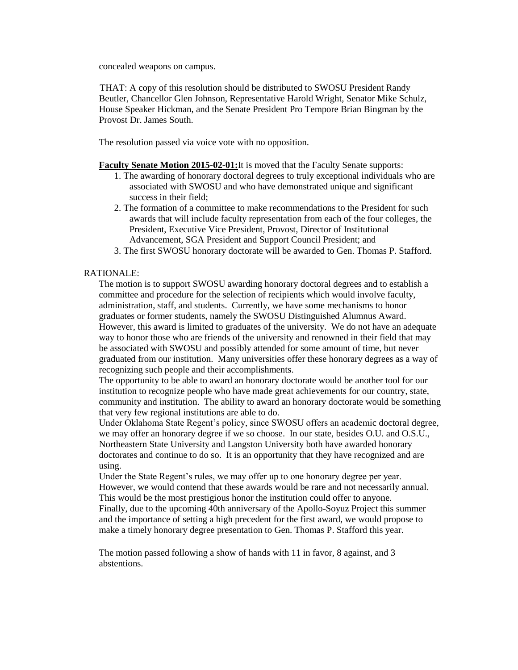concealed weapons on campus.

THAT: A copy of this resolution should be distributed to SWOSU President Randy Beutler, Chancellor Glen Johnson, Representative Harold Wright, Senator Mike Schulz, House Speaker Hickman, and the Senate President Pro Tempore Brian Bingman by the Provost Dr. James South.

The resolution passed via voice vote with no opposition.

**Faculty Senate Motion 2015-02-01:**It is moved that the Faculty Senate supports:

- 1. The awarding of honorary doctoral degrees to truly exceptional individuals who are associated with SWOSU and who have demonstrated unique and significant success in their field;
- 2. The formation of a committee to make recommendations to the President for such awards that will include faculty representation from each of the four colleges, the President, Executive Vice President, Provost, Director of Institutional Advancement, SGA President and Support Council President; and
- 3. The first SWOSU honorary doctorate will be awarded to Gen. Thomas P. Stafford.

#### RATIONALE:

The motion is to support SWOSU awarding honorary doctoral degrees and to establish a committee and procedure for the selection of recipients which would involve faculty, administration, staff, and students. Currently, we have some mechanisms to honor graduates or former students, namely the SWOSU Distinguished Alumnus Award. However, this award is limited to graduates of the university. We do not have an adequate way to honor those who are friends of the university and renowned in their field that may be associated with SWOSU and possibly attended for some amount of time, but never graduated from our institution. Many universities offer these honorary degrees as a way of recognizing such people and their accomplishments.

The opportunity to be able to award an honorary doctorate would be another tool for our institution to recognize people who have made great achievements for our country, state, community and institution. The ability to award an honorary doctorate would be something that very few regional institutions are able to do.

Under Oklahoma State Regent's policy, since SWOSU offers an academic doctoral degree, we may offer an honorary degree if we so choose. In our state, besides O.U. and O.S.U., Northeastern State University and Langston University both have awarded honorary doctorates and continue to do so. It is an opportunity that they have recognized and are using.

Under the State Regent's rules, we may offer up to one honorary degree per year. However, we would contend that these awards would be rare and not necessarily annual. This would be the most prestigious honor the institution could offer to anyone. Finally, due to the upcoming 40th anniversary of the Apollo-Soyuz Project this summer

and the importance of setting a high precedent for the first award, we would propose to make a timely honorary degree presentation to Gen. Thomas P. Stafford this year.

The motion passed following a show of hands with 11 in favor, 8 against, and 3 abstentions.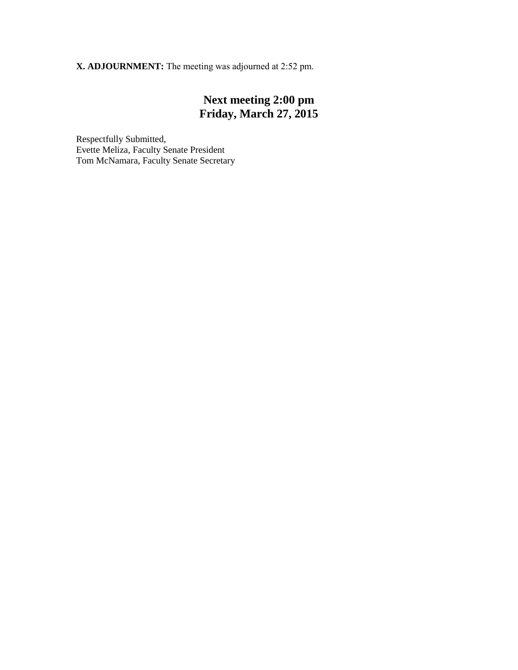**X. ADJOURNMENT:** The meeting was adjourned at 2:52 pm.

## **Next meeting 2:00 pm Friday, March 27, 2015**

Respectfully Submitted, Evette Meliza, Faculty Senate President Tom McNamara, Faculty Senate Secretary